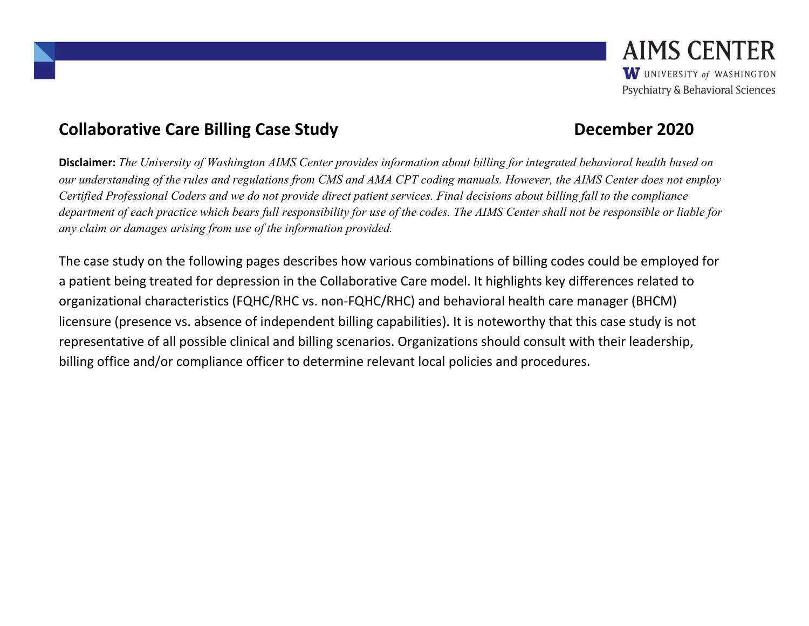#### Collaborative Care Billing Case Study **December 2020**

Disclaimer: The University of Washington AIMS Center provides information about billing for integrated behavioral health based on our understanding of the rules and regulations from CMS and AMA CPT coding manuals. However, the AIMS Center does not employ Certified Professional Coders and we do not provide direct patient services. Final decisions about billing fall to the compliance department of each practice which bears full responsibility for use of the codes. The AIMS Center shall not be responsible or liable for any claim or damages arising from use of the information provided.

The case study on the following pages describes how various combinations of billing codes could be employed for a patient being treated for depression in the Collaborative Care model. It highlights key differences related to organizational characteristics (FQHC/RHC vs. non-FQHC/RHC) and behavioral health care manager (BHCM) licensure (presence vs. absence of independent billing capabilities). It is noteworthy that this case study is not representative of all possible clinical and billing scenarios. Organizations should consult with their leadership, billing office and/or compliance officer to determine relevant local policies and procedures.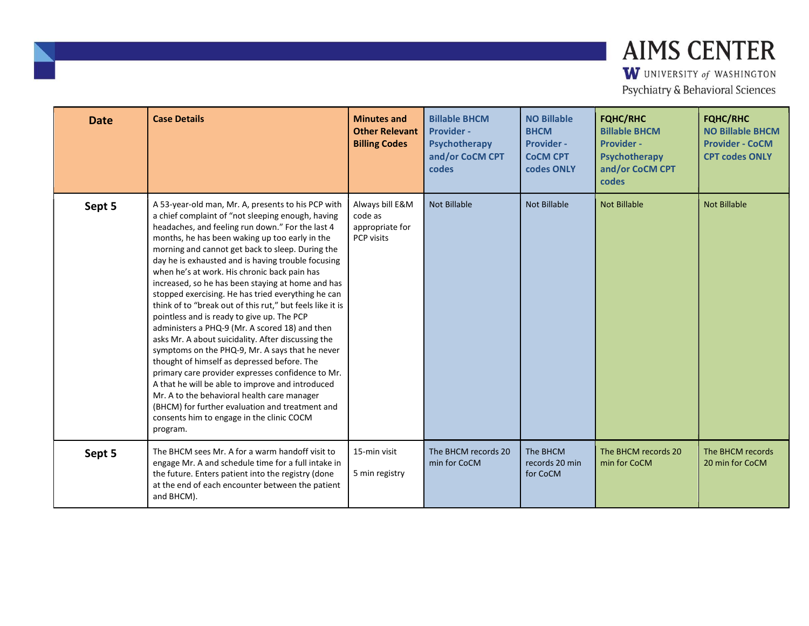| <b>Date</b> | <b>Case Details</b>                                                                                                                                                                                                                                                                                                                                                                                                                                                                                                                                                                                                                                                                                                                                                                                                                                                                                                                                                                                                                                                         | <b>Minutes and</b><br><b>Other Relevant</b><br><b>Billing Codes</b> | <b>Billable BHCM</b><br><b>Provider -</b><br>Psychotherapy<br>and/or CoCM CPT<br>codes | <b>NO Billable</b><br><b>BHCM</b><br><b>Provider -</b><br><b>CoCM CPT</b><br>codes ONLY | <b>FQHC/RHC</b><br><b>Billable BHCM</b><br><b>Provider -</b><br>Psychotherapy<br>and/or CoCM CPT<br>codes | <b>FQHC/RHC</b><br><b>NO Billable BHCM</b><br><b>Provider - CoCM</b><br><b>CPT codes ONLY</b> |
|-------------|-----------------------------------------------------------------------------------------------------------------------------------------------------------------------------------------------------------------------------------------------------------------------------------------------------------------------------------------------------------------------------------------------------------------------------------------------------------------------------------------------------------------------------------------------------------------------------------------------------------------------------------------------------------------------------------------------------------------------------------------------------------------------------------------------------------------------------------------------------------------------------------------------------------------------------------------------------------------------------------------------------------------------------------------------------------------------------|---------------------------------------------------------------------|----------------------------------------------------------------------------------------|-----------------------------------------------------------------------------------------|-----------------------------------------------------------------------------------------------------------|-----------------------------------------------------------------------------------------------|
| Sept 5      | A 53-year-old man, Mr. A, presents to his PCP with<br>a chief complaint of "not sleeping enough, having<br>headaches, and feeling run down." For the last 4<br>months, he has been waking up too early in the<br>morning and cannot get back to sleep. During the<br>day he is exhausted and is having trouble focusing<br>when he's at work. His chronic back pain has<br>increased, so he has been staying at home and has<br>stopped exercising. He has tried everything he can<br>think of to "break out of this rut," but feels like it is<br>pointless and is ready to give up. The PCP<br>administers a PHQ-9 (Mr. A scored 18) and then<br>asks Mr. A about suicidality. After discussing the<br>symptoms on the PHQ-9, Mr. A says that he never<br>thought of himself as depressed before. The<br>primary care provider expresses confidence to Mr.<br>A that he will be able to improve and introduced<br>Mr. A to the behavioral health care manager<br>(BHCM) for further evaluation and treatment and<br>consents him to engage in the clinic COCM<br>program. | Always bill E&M<br>code as<br>appropriate for<br>PCP visits         | <b>Not Billable</b>                                                                    | <b>Not Billable</b>                                                                     | <b>Not Billable</b>                                                                                       | <b>Not Billable</b>                                                                           |
| Sept 5      | The BHCM sees Mr. A for a warm handoff visit to<br>engage Mr. A and schedule time for a full intake in<br>the future. Enters patient into the registry (done<br>at the end of each encounter between the patient<br>and BHCM).                                                                                                                                                                                                                                                                                                                                                                                                                                                                                                                                                                                                                                                                                                                                                                                                                                              | 15-min visit<br>5 min registry                                      | The BHCM records 20<br>min for CoCM                                                    | The BHCM<br>records 20 min<br>for CoCM                                                  | The BHCM records 20<br>min for CoCM                                                                       | The BHCM records<br>20 min for CoCM                                                           |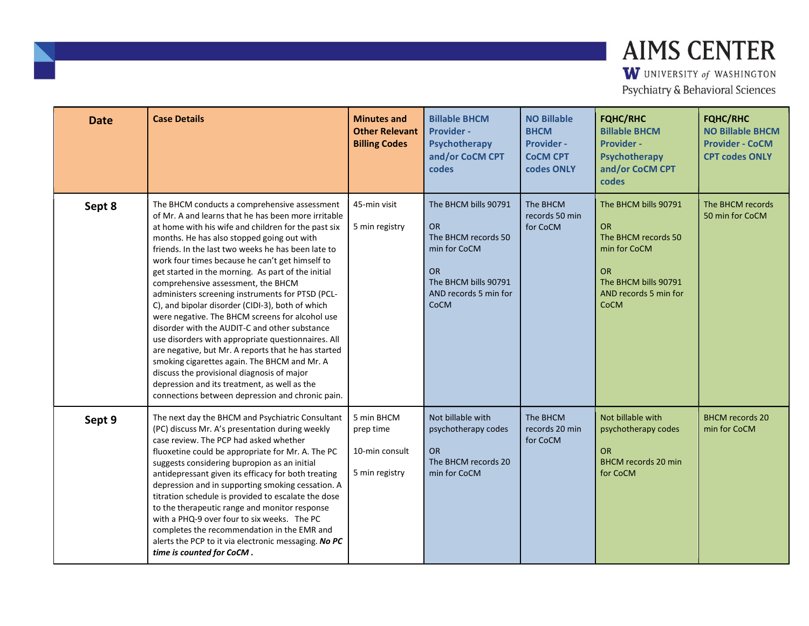| <b>Date</b> | <b>Case Details</b>                                                                                                                                                                                                                                                                                                                                                                                                                                                                                                                                                                                                                                                                                                                                                                                                                                                                                                                      | <b>Minutes and</b><br><b>Other Relevant</b><br><b>Billing Codes</b> | <b>Billable BHCM</b><br><b>Provider -</b><br>Psychotherapy<br>and/or CoCM CPT<br>codes                                                         | <b>NO Billable</b><br><b>BHCM</b><br><b>Provider -</b><br><b>COCM CPT</b><br>codes ONLY | <b>FQHC/RHC</b><br><b>Billable BHCM</b><br><b>Provider -</b><br>Psychotherapy<br>and/or CoCM CPT<br>codes                                             | <b>FQHC/RHC</b><br><b>NO Billable BHCM</b><br><b>Provider - CoCM</b><br><b>CPT codes ONLY</b> |
|-------------|------------------------------------------------------------------------------------------------------------------------------------------------------------------------------------------------------------------------------------------------------------------------------------------------------------------------------------------------------------------------------------------------------------------------------------------------------------------------------------------------------------------------------------------------------------------------------------------------------------------------------------------------------------------------------------------------------------------------------------------------------------------------------------------------------------------------------------------------------------------------------------------------------------------------------------------|---------------------------------------------------------------------|------------------------------------------------------------------------------------------------------------------------------------------------|-----------------------------------------------------------------------------------------|-------------------------------------------------------------------------------------------------------------------------------------------------------|-----------------------------------------------------------------------------------------------|
| Sept 8      | The BHCM conducts a comprehensive assessment<br>of Mr. A and learns that he has been more irritable<br>at home with his wife and children for the past six<br>months. He has also stopped going out with<br>friends. In the last two weeks he has been late to<br>work four times because he can't get himself to<br>get started in the morning. As part of the initial<br>comprehensive assessment, the BHCM<br>administers screening instruments for PTSD (PCL-<br>C), and bipolar disorder (CIDI-3), both of which<br>were negative. The BHCM screens for alcohol use<br>disorder with the AUDIT-C and other substance<br>use disorders with appropriate questionnaires. All<br>are negative, but Mr. A reports that he has started<br>smoking cigarettes again. The BHCM and Mr. A<br>discuss the provisional diagnosis of major<br>depression and its treatment, as well as the<br>connections between depression and chronic pain. | 45-min visit<br>5 min registry                                      | The BHCM bills 90791<br><b>OR</b><br>The BHCM records 50<br>min for CoCM<br><b>OR</b><br>The BHCM bills 90791<br>AND records 5 min for<br>CoCM | The BHCM<br>records 50 min<br>for CoCM                                                  | The BHCM bills 90791<br><b>OR</b><br>The BHCM records 50<br>min for CoCM<br><b>OR</b><br>The BHCM bills 90791<br>AND records 5 min for<br><b>CoCM</b> | The BHCM records<br>50 min for CoCM                                                           |
| Sept 9      | The next day the BHCM and Psychiatric Consultant<br>(PC) discuss Mr. A's presentation during weekly<br>case review. The PCP had asked whether<br>fluoxetine could be appropriate for Mr. A. The PC<br>suggests considering bupropion as an initial<br>antidepressant given its efficacy for both treating<br>depression and in supporting smoking cessation. A<br>titration schedule is provided to escalate the dose<br>to the therapeutic range and monitor response<br>with a PHQ-9 over four to six weeks. The PC<br>completes the recommendation in the EMR and<br>alerts the PCP to it via electronic messaging. No PC<br>time is counted for CoCM.                                                                                                                                                                                                                                                                                | 5 min BHCM<br>prep time<br>10-min consult<br>5 min registry         | Not billable with<br>psychotherapy codes<br><b>OR</b><br>The BHCM records 20<br>min for CoCM                                                   | The BHCM<br>records 20 min<br>for CoCM                                                  | Not billable with<br>psychotherapy codes<br><b>OR</b><br><b>BHCM</b> records 20 min<br>for CoCM                                                       | <b>BHCM</b> records 20<br>min for CoCM                                                        |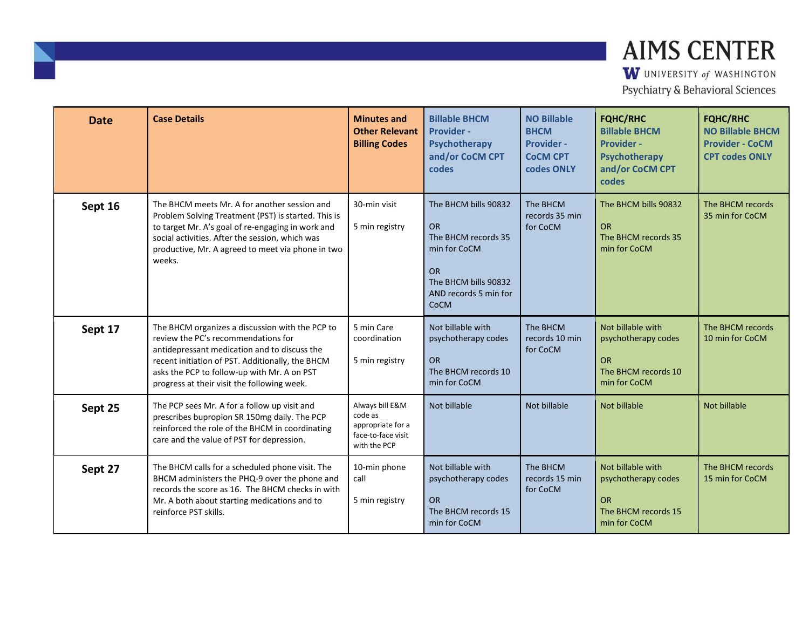| <b>Date</b> | <b>Case Details</b>                                                                                                                                                                                                                                                                      | <b>Minutes and</b><br><b>Other Relevant</b><br><b>Billing Codes</b>                   | <b>Billable BHCM</b><br><b>Provider -</b><br>Psychotherapy<br>and/or CoCM CPT<br>codes                                                         | <b>NO Billable</b><br><b>BHCM</b><br><b>Provider -</b><br><b>COCM CPT</b><br>codes ONLY | <b>FQHC/RHC</b><br><b>Billable BHCM</b><br><b>Provider -</b><br>Psychotherapy<br>and/or CoCM CPT<br>codes | <b>FQHC/RHC</b><br><b>NO Billable BHCM</b><br><b>Provider - CoCM</b><br><b>CPT codes ONLY</b> |
|-------------|------------------------------------------------------------------------------------------------------------------------------------------------------------------------------------------------------------------------------------------------------------------------------------------|---------------------------------------------------------------------------------------|------------------------------------------------------------------------------------------------------------------------------------------------|-----------------------------------------------------------------------------------------|-----------------------------------------------------------------------------------------------------------|-----------------------------------------------------------------------------------------------|
| Sept 16     | The BHCM meets Mr. A for another session and<br>Problem Solving Treatment (PST) is started. This is<br>to target Mr. A's goal of re-engaging in work and<br>social activities. After the session, which was<br>productive, Mr. A agreed to meet via phone in two<br>weeks.               | 30-min visit<br>5 min registry                                                        | The BHCM bills 90832<br><b>OR</b><br>The BHCM records 35<br>min for CoCM<br><b>OR</b><br>The BHCM bills 90832<br>AND records 5 min for<br>CoCM | The BHCM<br>records 35 min<br>for CoCM                                                  | The BHCM bills 90832<br><b>OR</b><br>The BHCM records 35<br>min for CoCM                                  | The BHCM records<br>35 min for CoCM                                                           |
| Sept 17     | The BHCM organizes a discussion with the PCP to<br>review the PC's recommendations for<br>antidepressant medication and to discuss the<br>recent initiation of PST. Additionally, the BHCM<br>asks the PCP to follow-up with Mr. A on PST<br>progress at their visit the following week. | 5 min Care<br>coordination<br>5 min registry                                          | Not billable with<br>psychotherapy codes<br><b>OR</b><br>The BHCM records 10<br>min for CoCM                                                   | The BHCM<br>records 10 min<br>for CoCM                                                  | Not billable with<br>psychotherapy codes<br><b>OR</b><br>The BHCM records 10<br>min for CoCM              | The BHCM records<br>10 min for CoCM                                                           |
| Sept 25     | The PCP sees Mr. A for a follow up visit and<br>prescribes bupropion SR 150mg daily. The PCP<br>reinforced the role of the BHCM in coordinating<br>care and the value of PST for depression.                                                                                             | Always bill E&M<br>code as<br>appropriate for a<br>face-to-face visit<br>with the PCP | Not billable                                                                                                                                   | Not billable                                                                            | Not billable                                                                                              | Not billable                                                                                  |
| Sept 27     | The BHCM calls for a scheduled phone visit. The<br>BHCM administers the PHQ-9 over the phone and<br>records the score as 16. The BHCM checks in with<br>Mr. A both about starting medications and to<br>reinforce PST skills.                                                            | 10-min phone<br>call<br>5 min registry                                                | Not billable with<br>psychotherapy codes<br><b>OR</b><br>The BHCM records 15<br>min for CoCM                                                   | The BHCM<br>records 15 min<br>for CoCM                                                  | Not billable with<br>psychotherapy codes<br><b>OR</b><br>The BHCM records 15<br>min for CoCM              | The BHCM records<br>15 min for CoCM                                                           |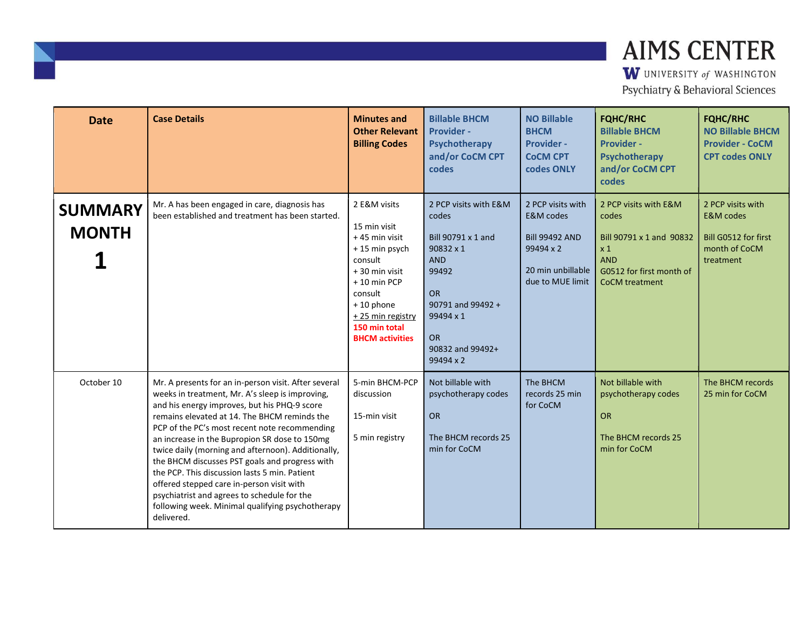| <b>Date</b>                    | <b>Case Details</b>                                                                                                                                                                                                                                                                                                                                                                                                                                                                                                                                                                                                              | <b>Minutes and</b><br><b>Other Relevant</b><br><b>Billing Codes</b>                                                                                                                               | <b>Billable BHCM</b><br><b>Provider -</b><br>Psychotherapy<br>and/or CoCM CPT<br>codes                                                                                                       | <b>NO Billable</b><br><b>BHCM</b><br>Provider -<br><b>COCM CPT</b><br>codes ONLY                                         | <b>FQHC/RHC</b><br><b>Billable BHCM</b><br><b>Provider -</b><br><b>Psychotherapy</b><br>and/or CoCM CPT<br>codes                     | <b>FQHC/RHC</b><br><b>NO Billable BHCM</b><br><b>Provider - CoCM</b><br><b>CPT codes ONLY</b>   |
|--------------------------------|----------------------------------------------------------------------------------------------------------------------------------------------------------------------------------------------------------------------------------------------------------------------------------------------------------------------------------------------------------------------------------------------------------------------------------------------------------------------------------------------------------------------------------------------------------------------------------------------------------------------------------|---------------------------------------------------------------------------------------------------------------------------------------------------------------------------------------------------|----------------------------------------------------------------------------------------------------------------------------------------------------------------------------------------------|--------------------------------------------------------------------------------------------------------------------------|--------------------------------------------------------------------------------------------------------------------------------------|-------------------------------------------------------------------------------------------------|
| <b>SUMMARY</b><br><b>MONTH</b> | Mr. A has been engaged in care, diagnosis has<br>been established and treatment has been started.                                                                                                                                                                                                                                                                                                                                                                                                                                                                                                                                | 2 E&M visits<br>15 min visit<br>+45 min visit<br>+15 min psych<br>consult<br>+30 min visit<br>+10 min PCP<br>consult<br>+10 phone<br>+ 25 min registry<br>150 min total<br><b>BHCM</b> activities | 2 PCP visits with E&M<br>codes<br>Bill 90791 x 1 and<br>$90832 \times 1$<br><b>AND</b><br>99492<br><b>OR</b><br>90791 and 99492 +<br>99494 x 1<br><b>OR</b><br>90832 and 99492+<br>99494 x 2 | 2 PCP visits with<br><b>E&amp;M</b> codes<br><b>Bill 99492 AND</b><br>99494 x 2<br>20 min unbillable<br>due to MUE limit | 2 PCP visits with E&M<br>codes<br>Bill 90791 x 1 and 90832<br>x 1<br><b>AND</b><br>G0512 for first month of<br><b>CoCM</b> treatment | 2 PCP visits with<br><b>E&amp;M</b> codes<br>Bill G0512 for first<br>month of CoCM<br>treatment |
| October 10                     | Mr. A presents for an in-person visit. After several<br>weeks in treatment, Mr. A's sleep is improving,<br>and his energy improves, but his PHQ-9 score<br>remains elevated at 14. The BHCM reminds the<br>PCP of the PC's most recent note recommending<br>an increase in the Bupropion SR dose to 150mg<br>twice daily (morning and afternoon). Additionally,<br>the BHCM discusses PST goals and progress with<br>the PCP. This discussion lasts 5 min. Patient<br>offered stepped care in-person visit with<br>psychiatrist and agrees to schedule for the<br>following week. Minimal qualifying psychotherapy<br>delivered. | 5-min BHCM-PCP<br>discussion<br>15-min visit<br>5 min registry                                                                                                                                    | Not billable with<br>psychotherapy codes<br><b>OR</b><br>The BHCM records 25<br>min for CoCM                                                                                                 | The BHCM<br>records 25 min<br>for CoCM                                                                                   | Not billable with<br>psychotherapy codes<br><b>OR</b><br>The BHCM records 25<br>min for CoCM                                         | The BHCM records<br>25 min for CoCM                                                             |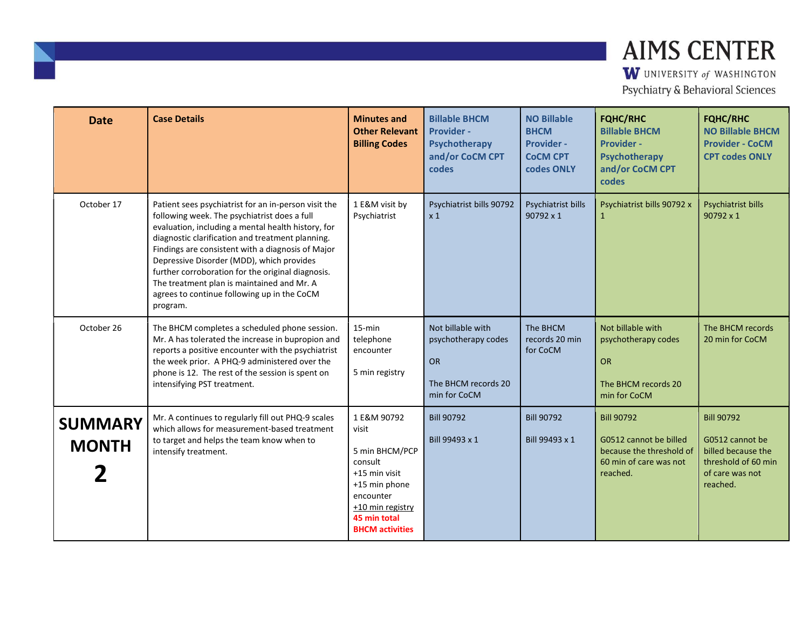| <b>Date</b>                    | <b>Case Details</b>                                                                                                                                                                                                                                                                                                                                                                                                                                                            | <b>Minutes and</b><br><b>Other Relevant</b><br><b>Billing Codes</b>                                                                                            | <b>Billable BHCM</b><br>Provider -<br><b>Psychotherapy</b><br>and/or CoCM CPT<br>codes | <b>NO Billable</b><br><b>BHCM</b><br><b>Provider -</b><br><b>COCM CPT</b><br>codes ONLY | <b>FQHC/RHC</b><br><b>Billable BHCM</b><br><b>Provider -</b><br><b>Psychotherapy</b><br>and/or CoCM CPT<br>codes | <b>FQHC/RHC</b><br><b>NO Billable BHCM</b><br><b>Provider - CoCM</b><br><b>CPT codes ONLY</b>                    |
|--------------------------------|--------------------------------------------------------------------------------------------------------------------------------------------------------------------------------------------------------------------------------------------------------------------------------------------------------------------------------------------------------------------------------------------------------------------------------------------------------------------------------|----------------------------------------------------------------------------------------------------------------------------------------------------------------|----------------------------------------------------------------------------------------|-----------------------------------------------------------------------------------------|------------------------------------------------------------------------------------------------------------------|------------------------------------------------------------------------------------------------------------------|
| October 17                     | Patient sees psychiatrist for an in-person visit the<br>following week. The psychiatrist does a full<br>evaluation, including a mental health history, for<br>diagnostic clarification and treatment planning.<br>Findings are consistent with a diagnosis of Major<br>Depressive Disorder (MDD), which provides<br>further corroboration for the original diagnosis.<br>The treatment plan is maintained and Mr. A<br>agrees to continue following up in the CoCM<br>program. | 1 E&M visit by<br>Psychiatrist                                                                                                                                 | Psychiatrist bills 90792<br>x <sub>1</sub>                                             | Psychiatrist bills<br>90792 x 1                                                         | Psychiatrist bills 90792 x<br>$\mathbf{1}$                                                                       | Psychiatrist bills<br>$90792 \times 1$                                                                           |
| October 26                     | The BHCM completes a scheduled phone session.<br>Mr. A has tolerated the increase in bupropion and<br>reports a positive encounter with the psychiatrist<br>the week prior. A PHQ-9 administered over the<br>phone is 12. The rest of the session is spent on<br>intensifying PST treatment.                                                                                                                                                                                   | $15 - min$<br>telephone<br>encounter<br>5 min registry                                                                                                         | Not billable with<br>psychotherapy codes<br>OR<br>The BHCM records 20<br>min for CoCM  | The BHCM<br>records 20 min<br>for CoCM                                                  | Not billable with<br>psychotherapy codes<br><b>OR</b><br>The BHCM records 20<br>min for CoCM                     | The BHCM records<br>20 min for CoCM                                                                              |
| <b>SUMMARY</b><br><b>MONTH</b> | Mr. A continues to regularly fill out PHQ-9 scales<br>which allows for measurement-based treatment<br>to target and helps the team know when to<br>intensify treatment.                                                                                                                                                                                                                                                                                                        | 1 E&M 90792<br>visit<br>5 min BHCM/PCP<br>consult<br>+15 min visit<br>+15 min phone<br>encounter<br>+10 min registry<br>45 min total<br><b>BHCM</b> activities | <b>Bill 90792</b><br>Bill 99493 x 1                                                    | <b>Bill 90792</b><br>Bill 99493 x 1                                                     | <b>Bill 90792</b><br>G0512 cannot be billed<br>because the threshold of<br>60 min of care was not<br>reached.    | <b>Bill 90792</b><br>G0512 cannot be<br>billed because the<br>threshold of 60 min<br>of care was not<br>reached. |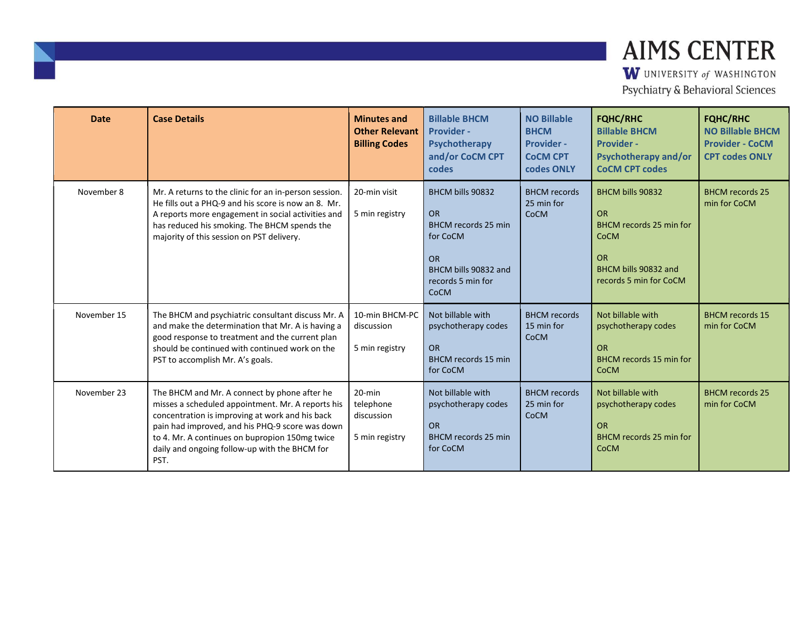| <b>Date</b> | <b>Case Details</b>                                                                                                                                                                                                                                                                                                | <b>Minutes and</b><br><b>Other Relevant</b><br><b>Billing Codes</b> | <b>Billable BHCM</b><br><b>Provider -</b><br>Psychotherapy<br>and/or CoCM CPT<br>codes                                                    | <b>NO Billable</b><br><b>BHCM</b><br><b>Provider -</b><br><b>CoCM CPT</b><br>codes ONLY | <b>FQHC/RHC</b><br><b>Billable BHCM</b><br><b>Provider -</b><br><b>Psychotherapy and/or</b><br><b>CoCM CPT codes</b>                   | <b>FQHC/RHC</b><br><b>NO Billable BHCM</b><br><b>Provider - CoCM</b><br><b>CPT codes ONLY</b> |
|-------------|--------------------------------------------------------------------------------------------------------------------------------------------------------------------------------------------------------------------------------------------------------------------------------------------------------------------|---------------------------------------------------------------------|-------------------------------------------------------------------------------------------------------------------------------------------|-----------------------------------------------------------------------------------------|----------------------------------------------------------------------------------------------------------------------------------------|-----------------------------------------------------------------------------------------------|
| November 8  | Mr. A returns to the clinic for an in-person session.<br>He fills out a PHO-9 and his score is now an 8. Mr.<br>A reports more engagement in social activities and<br>has reduced his smoking. The BHCM spends the<br>majority of this session on PST delivery.                                                    | 20-min visit<br>5 min registry                                      | BHCM bills 90832<br><b>OR</b><br>BHCM records 25 min<br>for CoCM<br><b>OR</b><br>BHCM bills 90832 and<br>records 5 min for<br><b>CoCM</b> | <b>BHCM</b> records<br>25 min for<br><b>CoCM</b>                                        | BHCM bills 90832<br><b>OR</b><br>BHCM records 25 min for<br><b>CoCM</b><br><b>OR</b><br>BHCM bills 90832 and<br>records 5 min for CoCM | <b>BHCM records 25</b><br>min for CoCM                                                        |
| November 15 | The BHCM and psychiatric consultant discuss Mr. A<br>and make the determination that Mr. A is having a<br>good response to treatment and the current plan<br>should be continued with continued work on the<br>PST to accomplish Mr. A's goals.                                                                    | 10-min BHCM-PC<br>discussion<br>5 min registry                      | Not billable with<br>psychotherapy codes<br><b>OR</b><br><b>BHCM</b> records 15 min<br>for CoCM                                           | <b>BHCM</b> records<br>15 min for<br><b>CoCM</b>                                        | Not billable with<br>psychotherapy codes<br><b>OR</b><br>BHCM records 15 min for<br><b>CoCM</b>                                        | <b>BHCM</b> records 15<br>min for CoCM                                                        |
| November 23 | The BHCM and Mr. A connect by phone after he<br>misses a scheduled appointment. Mr. A reports his<br>concentration is improving at work and his back<br>pain had improved, and his PHQ-9 score was down<br>to 4. Mr. A continues on bupropion 150mg twice<br>daily and ongoing follow-up with the BHCM for<br>PST. | $20$ -min<br>telephone<br>discussion<br>5 min registry              | Not billable with<br>psychotherapy codes<br><b>OR</b><br><b>BHCM</b> records 25 min<br>for CoCM                                           | <b>BHCM</b> records<br>25 min for<br><b>CoCM</b>                                        | Not billable with<br>psychotherapy codes<br><b>OR</b><br>BHCM records 25 min for<br><b>CoCM</b>                                        | <b>BHCM records 25</b><br>min for CoCM                                                        |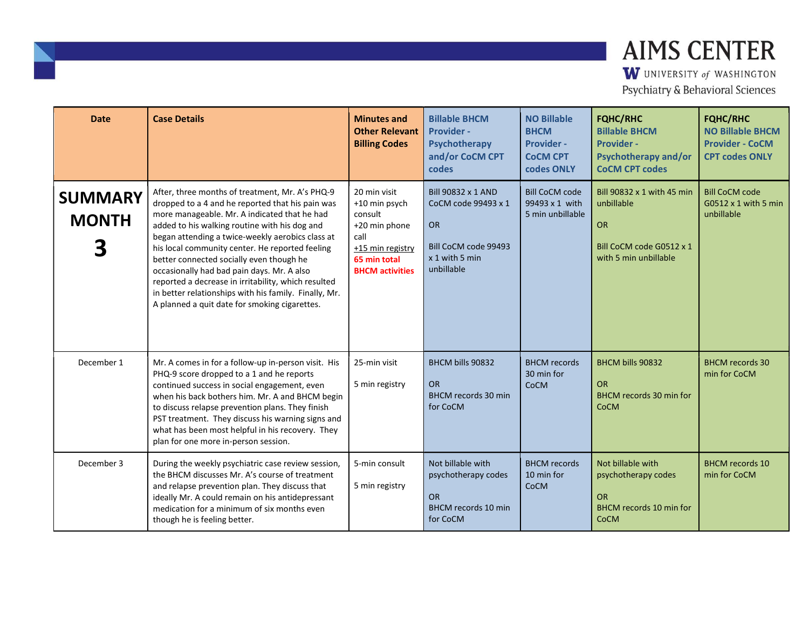| <b>Date</b>                    | <b>Case Details</b>                                                                                                                                                                                                                                                                                                                                                                                                                                                                                                                                                    | <b>Minutes and</b><br><b>Other Relevant</b><br><b>Billing Codes</b>                                                             | <b>Billable BHCM</b><br><b>Provider -</b><br>Psychotherapy<br>and/or CoCM CPT<br>codes                         | <b>NO Billable</b><br><b>BHCM</b><br><b>Provider -</b><br><b>COCM CPT</b><br>codes ONLY | <b>FQHC/RHC</b><br><b>Billable BHCM</b><br><b>Provider -</b><br><b>Psychotherapy and/or</b><br><b>CoCM CPT codes</b> | <b>FQHC/RHC</b><br><b>NO Billable BHCM</b><br><b>Provider - CoCM</b><br><b>CPT codes ONLY</b> |
|--------------------------------|------------------------------------------------------------------------------------------------------------------------------------------------------------------------------------------------------------------------------------------------------------------------------------------------------------------------------------------------------------------------------------------------------------------------------------------------------------------------------------------------------------------------------------------------------------------------|---------------------------------------------------------------------------------------------------------------------------------|----------------------------------------------------------------------------------------------------------------|-----------------------------------------------------------------------------------------|----------------------------------------------------------------------------------------------------------------------|-----------------------------------------------------------------------------------------------|
| <b>SUMMARY</b><br><b>MONTH</b> | After, three months of treatment, Mr. A's PHQ-9<br>dropped to a 4 and he reported that his pain was<br>more manageable. Mr. A indicated that he had<br>added to his walking routine with his dog and<br>began attending a twice-weekly aerobics class at<br>his local community center. He reported feeling<br>better connected socially even though he<br>occasionally had bad pain days. Mr. A also<br>reported a decrease in irritability, which resulted<br>in better relationships with his family. Finally, Mr.<br>A planned a quit date for smoking cigarettes. | 20 min visit<br>+10 min psych<br>consult<br>+20 min phone<br>call<br>+15 min registry<br>65 min total<br><b>BHCM</b> activities | Bill 90832 x 1 AND<br>CoCM code 99493 x 1<br><b>OR</b><br>Bill CoCM code 99493<br>x 1 with 5 min<br>unbillable | <b>Bill CoCM code</b><br>99493 x 1 with<br>5 min unbillable                             | Bill 90832 x 1 with 45 min<br>unbillable<br><b>OR</b><br>Bill CoCM code G0512 x 1<br>with 5 min unbillable           | <b>Bill CoCM code</b><br>$G0512 \times 1$ with 5 min<br>unbillable                            |
| December 1                     | Mr. A comes in for a follow-up in-person visit. His<br>PHQ-9 score dropped to a 1 and he reports<br>continued success in social engagement, even<br>when his back bothers him. Mr. A and BHCM begin<br>to discuss relapse prevention plans. They finish<br>PST treatment. They discuss his warning signs and<br>what has been most helpful in his recovery. They<br>plan for one more in-person session.                                                                                                                                                               | 25-min visit<br>5 min registry                                                                                                  | <b>BHCM bills 90832</b><br><b>OR</b><br>BHCM records 30 min<br>for CoCM                                        | <b>BHCM</b> records<br>30 min for<br><b>CoCM</b>                                        | <b>BHCM bills 90832</b><br><b>OR</b><br><b>BHCM records 30 min for</b><br><b>CoCM</b>                                | <b>BHCM</b> records 30<br>min for CoCM                                                        |
| December 3                     | During the weekly psychiatric case review session,<br>the BHCM discusses Mr. A's course of treatment<br>and relapse prevention plan. They discuss that<br>ideally Mr. A could remain on his antidepressant<br>medication for a minimum of six months even<br>though he is feeling better.                                                                                                                                                                                                                                                                              | 5-min consult<br>5 min registry                                                                                                 | Not billable with<br>psychotherapy codes<br><b>OR</b><br><b>BHCM records 10 min</b><br>for CoCM                | <b>BHCM</b> records<br>10 min for<br><b>CoCM</b>                                        | Not billable with<br>psychotherapy codes<br><b>OR</b><br><b>BHCM</b> records 10 min for<br><b>CoCM</b>               | <b>BHCM</b> records 10<br>min for CoCM                                                        |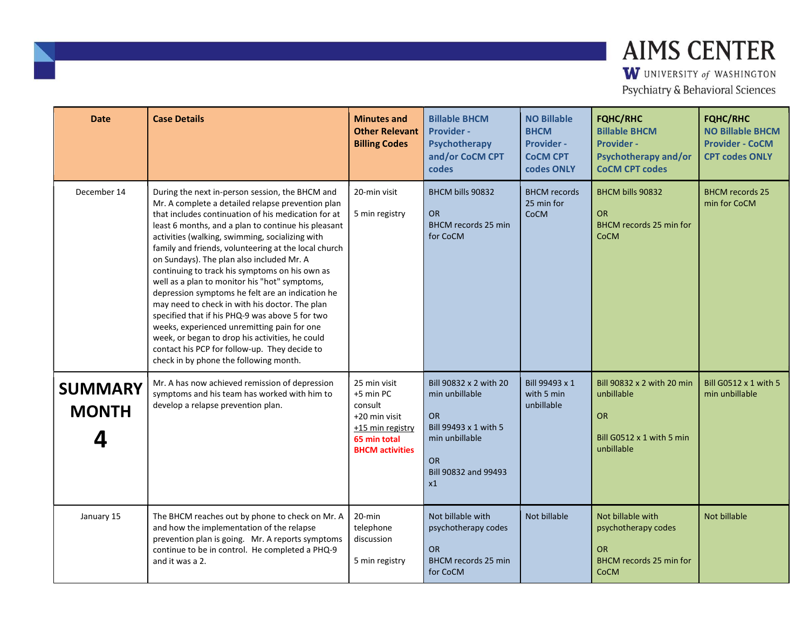| <b>Date</b>                         | <b>Case Details</b>                                                                                                                                                                                                                                                                                                                                                                                                                                                                                                                                                                                                                                                                                                                                                                                                                 | <b>Minutes and</b><br><b>Other Relevant</b><br><b>Billing Codes</b>                                                 | <b>Billable BHCM</b><br><b>Provider -</b><br>Psychotherapy<br>and/or CoCM CPT<br>codes                                                      | <b>NO Billable</b><br><b>BHCM</b><br><b>Provider -</b><br><b>CoCM CPT</b><br>codes ONLY | <b>FQHC/RHC</b><br><b>Billable BHCM</b><br><b>Provider -</b><br><b>Psychotherapy and/or</b><br><b>CoCM CPT codes</b> | <b>FQHC/RHC</b><br><b>NO Billable BHCM</b><br><b>Provider - CoCM</b><br><b>CPT codes ONLY</b> |
|-------------------------------------|-------------------------------------------------------------------------------------------------------------------------------------------------------------------------------------------------------------------------------------------------------------------------------------------------------------------------------------------------------------------------------------------------------------------------------------------------------------------------------------------------------------------------------------------------------------------------------------------------------------------------------------------------------------------------------------------------------------------------------------------------------------------------------------------------------------------------------------|---------------------------------------------------------------------------------------------------------------------|---------------------------------------------------------------------------------------------------------------------------------------------|-----------------------------------------------------------------------------------------|----------------------------------------------------------------------------------------------------------------------|-----------------------------------------------------------------------------------------------|
| December 14                         | During the next in-person session, the BHCM and<br>Mr. A complete a detailed relapse prevention plan<br>that includes continuation of his medication for at<br>least 6 months, and a plan to continue his pleasant<br>activities (walking, swimming, socializing with<br>family and friends, volunteering at the local church<br>on Sundays). The plan also included Mr. A<br>continuing to track his symptoms on his own as<br>well as a plan to monitor his "hot" symptoms,<br>depression symptoms he felt are an indication he<br>may need to check in with his doctor. The plan<br>specified that if his PHQ-9 was above 5 for two<br>weeks, experienced unremitting pain for one<br>week, or began to drop his activities, he could<br>contact his PCP for follow-up. They decide to<br>check in by phone the following month. | 20-min visit<br>5 min registry                                                                                      | BHCM bills 90832<br><b>OR</b><br><b>BHCM</b> records 25 min<br>for CoCM                                                                     | <b>BHCM</b> records<br>25 min for<br>CoCM                                               | <b>BHCM bills 90832</b><br><b>OR</b><br>BHCM records 25 min for<br><b>CoCM</b>                                       | <b>BHCM records 25</b><br>min for CoCM                                                        |
| <b>SUMMARY</b><br><b>MONTH</b><br>4 | Mr. A has now achieved remission of depression<br>symptoms and his team has worked with him to<br>develop a relapse prevention plan.                                                                                                                                                                                                                                                                                                                                                                                                                                                                                                                                                                                                                                                                                                | 25 min visit<br>+5 min PC<br>consult<br>+20 min visit<br>+15 min registry<br>65 min total<br><b>BHCM</b> activities | Bill 90832 x 2 with 20<br>min unbillable<br><b>OR</b><br>Bill 99493 x 1 with 5<br>min unbillable<br><b>OR</b><br>Bill 90832 and 99493<br>x1 | Bill 99493 x 1<br>with 5 min<br>unbillable                                              | Bill 90832 x 2 with 20 min<br>unbillable<br><b>OR</b><br>Bill $G0512 \times 1$ with 5 min<br>unbillable              | Bill G0512 x 1 with 5<br>min unbillable                                                       |
| January 15                          | The BHCM reaches out by phone to check on Mr. A<br>and how the implementation of the relapse<br>prevention plan is going. Mr. A reports symptoms<br>continue to be in control. He completed a PHQ-9<br>and it was a 2.                                                                                                                                                                                                                                                                                                                                                                                                                                                                                                                                                                                                              | $20$ -min<br>telephone<br>discussion<br>5 min registry                                                              | Not billable with<br>psychotherapy codes<br><b>OR</b><br><b>BHCM</b> records 25 min<br>for CoCM                                             | Not billable                                                                            | Not billable with<br>psychotherapy codes<br><b>OR</b><br>BHCM records 25 min for<br><b>CoCM</b>                      | Not billable                                                                                  |